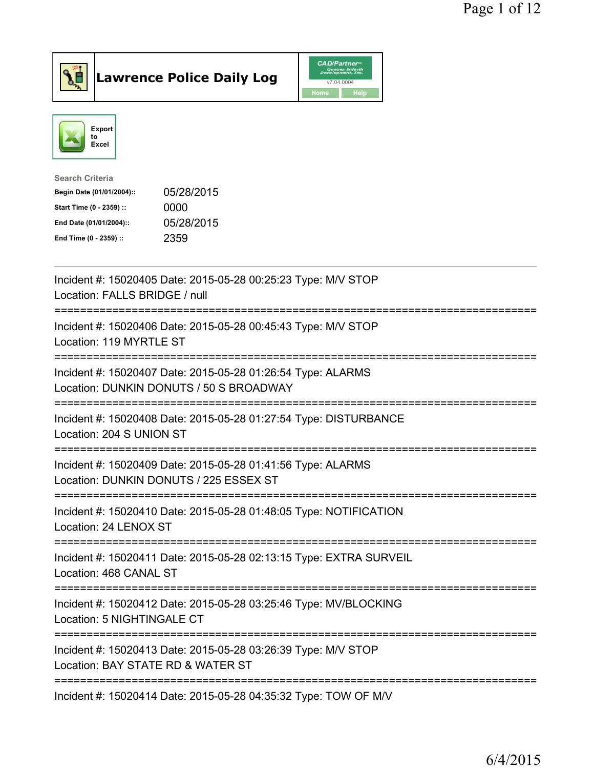



| 05/28/2015 |
|------------|
|            |
| 05/28/2015 |
|            |
|            |

| Incident #: 15020405 Date: 2015-05-28 00:25:23 Type: M/V STOP<br>Location: FALLS BRIDGE / null                                                   |
|--------------------------------------------------------------------------------------------------------------------------------------------------|
| Incident #: 15020406 Date: 2015-05-28 00:45:43 Type: M/V STOP<br>Location: 119 MYRTLE ST<br>=============================<br>.------------------ |
| Incident #: 15020407 Date: 2015-05-28 01:26:54 Type: ALARMS<br>Location: DUNKIN DONUTS / 50 S BROADWAY<br>=========================              |
| Incident #: 15020408 Date: 2015-05-28 01:27:54 Type: DISTURBANCE<br>Location: 204 S UNION ST                                                     |
| Incident #: 15020409 Date: 2015-05-28 01:41:56 Type: ALARMS<br>Location: DUNKIN DONUTS / 225 ESSEX ST<br><u>:=====================</u>           |
| Incident #: 15020410 Date: 2015-05-28 01:48:05 Type: NOTIFICATION<br>Location: 24 LENOX ST                                                       |
| Incident #: 15020411 Date: 2015-05-28 02:13:15 Type: EXTRA SURVEIL<br>Location: 468 CANAL ST                                                     |
| Incident #: 15020412 Date: 2015-05-28 03:25:46 Type: MV/BLOCKING<br>Location: 5 NIGHTINGALE CT                                                   |
| Incident #: 15020413 Date: 2015-05-28 03:26:39 Type: M/V STOP<br>Location: BAY STATE RD & WATER ST                                               |
| Incident #: 15020414 Date: 2015-05-28 04:35:32 Type: TOW OF M/V                                                                                  |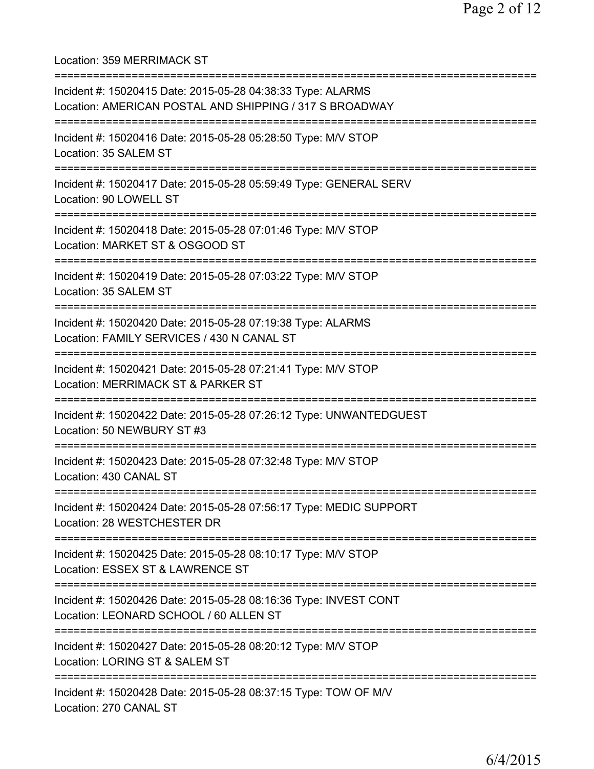Location: 359 MERRIMACK ST

| Incident #: 15020415 Date: 2015-05-28 04:38:33 Type: ALARMS<br>Location: AMERICAN POSTAL AND SHIPPING / 317 S BROADWAY              |
|-------------------------------------------------------------------------------------------------------------------------------------|
| Incident #: 15020416 Date: 2015-05-28 05:28:50 Type: M/V STOP<br>Location: 35 SALEM ST                                              |
| Incident #: 15020417 Date: 2015-05-28 05:59:49 Type: GENERAL SERV<br>Location: 90 LOWELL ST                                         |
| Incident #: 15020418 Date: 2015-05-28 07:01:46 Type: M/V STOP<br>Location: MARKET ST & OSGOOD ST                                    |
| Incident #: 15020419 Date: 2015-05-28 07:03:22 Type: M/V STOP<br>Location: 35 SALEM ST                                              |
| Incident #: 15020420 Date: 2015-05-28 07:19:38 Type: ALARMS<br>Location: FAMILY SERVICES / 430 N CANAL ST                           |
| Incident #: 15020421 Date: 2015-05-28 07:21:41 Type: M/V STOP<br>Location: MERRIMACK ST & PARKER ST                                 |
| Incident #: 15020422 Date: 2015-05-28 07:26:12 Type: UNWANTEDGUEST<br>Location: 50 NEWBURY ST #3                                    |
| =============<br>Incident #: 15020423 Date: 2015-05-28 07:32:48 Type: M/V STOP<br>Location: 430 CANAL ST                            |
| Incident #: 15020424 Date: 2015-05-28 07:56:17 Type: MEDIC SUPPORT<br>Location: 28 WESTCHESTER DR                                   |
| ------------------------------<br>Incident #: 15020425 Date: 2015-05-28 08:10:17 Type: M/V STOP<br>Location: ESSEX ST & LAWRENCE ST |
| Incident #: 15020426 Date: 2015-05-28 08:16:36 Type: INVEST CONT<br>Location: LEONARD SCHOOL / 60 ALLEN ST                          |
| Incident #: 15020427 Date: 2015-05-28 08:20:12 Type: M/V STOP<br>Location: LORING ST & SALEM ST                                     |
| Incident #: 15020428 Date: 2015-05-28 08:37:15 Type: TOW OF M/V<br>Location: 270 CANAL ST                                           |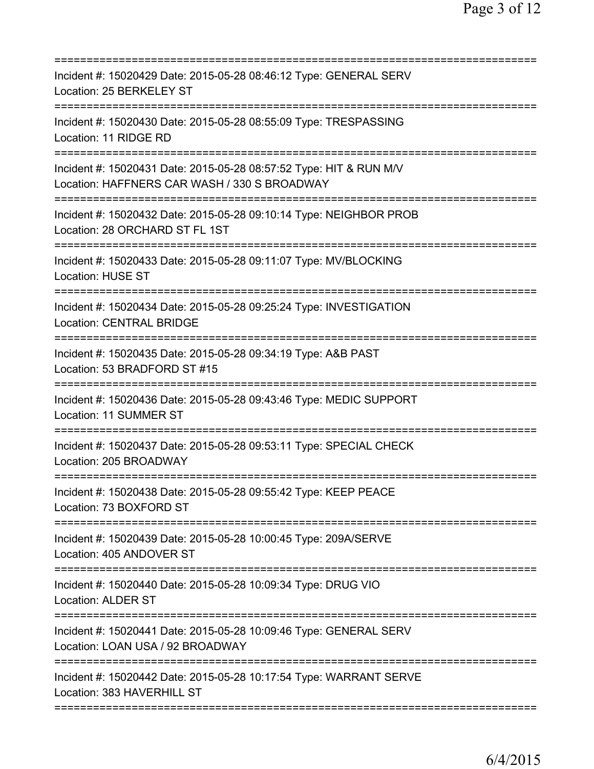| Incident #: 15020429 Date: 2015-05-28 08:46:12 Type: GENERAL SERV<br>Location: 25 BERKELEY ST                                                              |
|------------------------------------------------------------------------------------------------------------------------------------------------------------|
| Incident #: 15020430 Date: 2015-05-28 08:55:09 Type: TRESPASSING<br>Location: 11 RIDGE RD                                                                  |
| Incident #: 15020431 Date: 2015-05-28 08:57:52 Type: HIT & RUN M/V<br>Location: HAFFNERS CAR WASH / 330 S BROADWAY<br>==================================== |
| Incident #: 15020432 Date: 2015-05-28 09:10:14 Type: NEIGHBOR PROB<br>Location: 28 ORCHARD ST FL 1ST                                                       |
| Incident #: 15020433 Date: 2015-05-28 09:11:07 Type: MV/BLOCKING<br><b>Location: HUSE ST</b>                                                               |
| =============<br>Incident #: 15020434 Date: 2015-05-28 09:25:24 Type: INVESTIGATION<br><b>Location: CENTRAL BRIDGE</b>                                     |
| Incident #: 15020435 Date: 2015-05-28 09:34:19 Type: A&B PAST<br>Location: 53 BRADFORD ST #15                                                              |
| Incident #: 15020436 Date: 2015-05-28 09:43:46 Type: MEDIC SUPPORT<br>Location: 11 SUMMER ST                                                               |
| Incident #: 15020437 Date: 2015-05-28 09:53:11 Type: SPECIAL CHECK<br>Location: 205 BROADWAY                                                               |
| Incident #: 15020438 Date: 2015-05-28 09:55:42 Type: KEEP PEACE<br>Location: 73 BOXFORD ST                                                                 |
| Incident #: 15020439 Date: 2015-05-28 10:00:45 Type: 209A/SERVE<br>Location: 405 ANDOVER ST                                                                |
| Incident #: 15020440 Date: 2015-05-28 10:09:34 Type: DRUG VIO<br><b>Location: ALDER ST</b>                                                                 |
| Incident #: 15020441 Date: 2015-05-28 10:09:46 Type: GENERAL SERV<br>Location: LOAN USA / 92 BROADWAY                                                      |
| Incident #: 15020442 Date: 2015-05-28 10:17:54 Type: WARRANT SERVE<br>Location: 383 HAVERHILL ST                                                           |
|                                                                                                                                                            |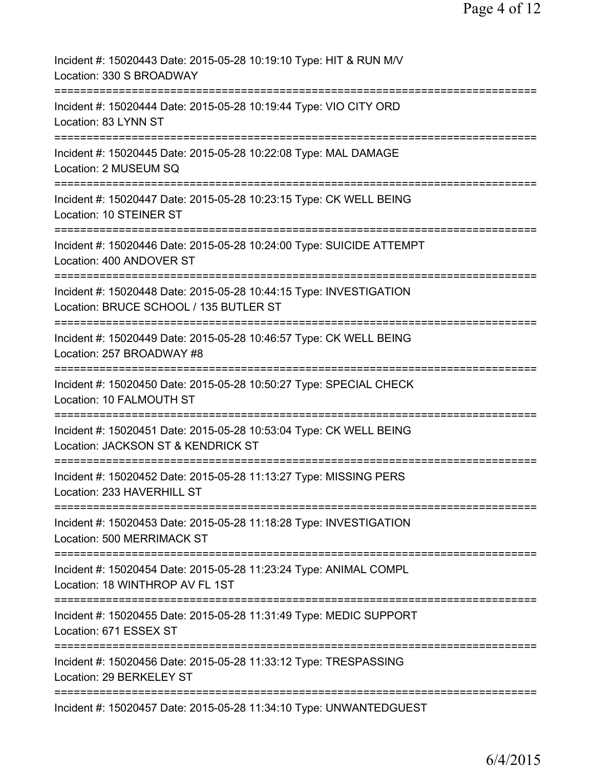| Incident #: 15020443 Date: 2015-05-28 10:19:10 Type: HIT & RUN M/V<br>Location: 330 S BROADWAY                                                       |
|------------------------------------------------------------------------------------------------------------------------------------------------------|
| Incident #: 15020444 Date: 2015-05-28 10:19:44 Type: VIO CITY ORD<br>Location: 83 LYNN ST                                                            |
| Incident #: 15020445 Date: 2015-05-28 10:22:08 Type: MAL DAMAGE<br>Location: 2 MUSEUM SQ                                                             |
| Incident #: 15020447 Date: 2015-05-28 10:23:15 Type: CK WELL BEING<br>Location: 10 STEINER ST                                                        |
| Incident #: 15020446 Date: 2015-05-28 10:24:00 Type: SUICIDE ATTEMPT<br>Location: 400 ANDOVER ST                                                     |
| ====================================<br>Incident #: 15020448 Date: 2015-05-28 10:44:15 Type: INVESTIGATION<br>Location: BRUCE SCHOOL / 135 BUTLER ST |
| Incident #: 15020449 Date: 2015-05-28 10:46:57 Type: CK WELL BEING<br>Location: 257 BROADWAY #8                                                      |
| Incident #: 15020450 Date: 2015-05-28 10:50:27 Type: SPECIAL CHECK<br>Location: 10 FALMOUTH ST                                                       |
| Incident #: 15020451 Date: 2015-05-28 10:53:04 Type: CK WELL BEING<br>Location: JACKSON ST & KENDRICK ST                                             |
| Incident #: 15020452 Date: 2015-05-28 11:13:27 Type: MISSING PERS<br>Location: 233 HAVERHILL ST                                                      |
| Incident #: 15020453 Date: 2015-05-28 11:18:28 Type: INVESTIGATION<br>Location: 500 MERRIMACK ST                                                     |
| Incident #: 15020454 Date: 2015-05-28 11:23:24 Type: ANIMAL COMPL<br>Location: 18 WINTHROP AV FL 1ST                                                 |
| Incident #: 15020455 Date: 2015-05-28 11:31:49 Type: MEDIC SUPPORT<br>Location: 671 ESSEX ST                                                         |
| Incident #: 15020456 Date: 2015-05-28 11:33:12 Type: TRESPASSING<br>Location: 29 BERKELEY ST                                                         |
| Incident #: 15020457 Date: 2015-05-28 11:34:10 Type: UNWANTEDGUEST                                                                                   |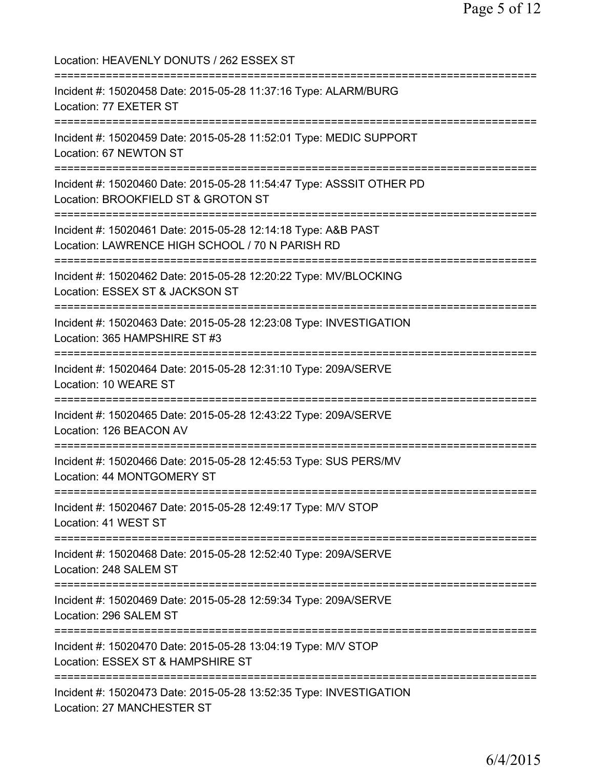Location: HEAVENLY DONUTS / 262 ESSEX ST =========================================================================== Incident #: 15020458 Date: 2015-05-28 11:37:16 Type: ALARM/BURG Location: 77 EXETER ST =========================================================================== Incident #: 15020459 Date: 2015-05-28 11:52:01 Type: MEDIC SUPPORT Location: 67 NEWTON ST =========================================================================== Incident #: 15020460 Date: 2015-05-28 11:54:47 Type: ASSSIT OTHER PD Location: BROOKFIELD ST & GROTON ST =========================================================================== Incident #: 15020461 Date: 2015-05-28 12:14:18 Type: A&B PAST Location: LAWRENCE HIGH SCHOOL / 70 N PARISH RD =========================================================================== Incident #: 15020462 Date: 2015-05-28 12:20:22 Type: MV/BLOCKING Location: ESSEX ST & JACKSON ST =========================================================================== Incident #: 15020463 Date: 2015-05-28 12:23:08 Type: INVESTIGATION Location: 365 HAMPSHIRE ST #3 =========================================================================== Incident #: 15020464 Date: 2015-05-28 12:31:10 Type: 209A/SERVE Location: 10 WEARE ST =========================================================================== Incident #: 15020465 Date: 2015-05-28 12:43:22 Type: 209A/SERVE Location: 126 BEACON AV =========================================================================== Incident #: 15020466 Date: 2015-05-28 12:45:53 Type: SUS PERS/MV Location: 44 MONTGOMERY ST =========================================================================== Incident #: 15020467 Date: 2015-05-28 12:49:17 Type: M/V STOP Location: 41 WEST ST =========================================================================== Incident #: 15020468 Date: 2015-05-28 12:52:40 Type: 209A/SERVE Location: 248 SALEM ST =========================================================================== Incident #: 15020469 Date: 2015-05-28 12:59:34 Type: 209A/SERVE Location: 296 SALEM ST =========================================================================== Incident #: 15020470 Date: 2015-05-28 13:04:19 Type: M/V STOP Location: ESSEX ST & HAMPSHIRE ST =========================================================================== Incident #: 15020473 Date: 2015-05-28 13:52:35 Type: INVESTIGATION Location: 27 MANCHESTER ST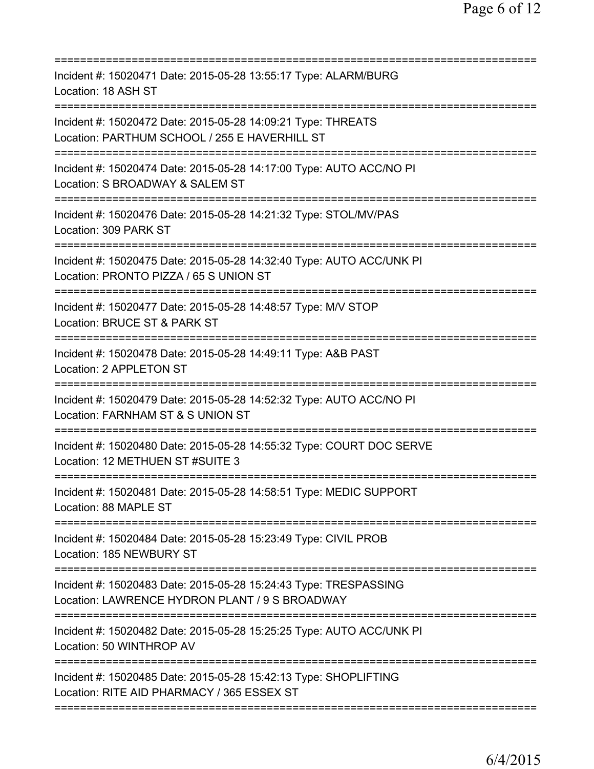| Incident #: 15020471 Date: 2015-05-28 13:55:17 Type: ALARM/BURG<br>Location: 18 ASH ST                             |
|--------------------------------------------------------------------------------------------------------------------|
| Incident #: 15020472 Date: 2015-05-28 14:09:21 Type: THREATS<br>Location: PARTHUM SCHOOL / 255 E HAVERHILL ST      |
| Incident #: 15020474 Date: 2015-05-28 14:17:00 Type: AUTO ACC/NO PI<br>Location: S BROADWAY & SALEM ST             |
| Incident #: 15020476 Date: 2015-05-28 14:21:32 Type: STOL/MV/PAS<br>Location: 309 PARK ST                          |
| Incident #: 15020475 Date: 2015-05-28 14:32:40 Type: AUTO ACC/UNK PI<br>Location: PRONTO PIZZA / 65 S UNION ST     |
| Incident #: 15020477 Date: 2015-05-28 14:48:57 Type: M/V STOP<br>Location: BRUCE ST & PARK ST                      |
| Incident #: 15020478 Date: 2015-05-28 14:49:11 Type: A&B PAST<br>Location: 2 APPLETON ST<br>-------------------    |
| Incident #: 15020479 Date: 2015-05-28 14:52:32 Type: AUTO ACC/NO PI<br>Location: FARNHAM ST & S UNION ST           |
| Incident #: 15020480 Date: 2015-05-28 14:55:32 Type: COURT DOC SERVE<br>Location: 12 METHUEN ST #SUITE 3           |
| Incident #: 15020481 Date: 2015-05-28 14:58:51 Type: MEDIC SUPPORT<br>Location: 88 MAPLE ST                        |
| Incident #: 15020484 Date: 2015-05-28 15:23:49 Type: CIVIL PROB<br>Location: 185 NEWBURY ST                        |
| Incident #: 15020483 Date: 2015-05-28 15:24:43 Type: TRESPASSING<br>Location: LAWRENCE HYDRON PLANT / 9 S BROADWAY |
| Incident #: 15020482 Date: 2015-05-28 15:25:25 Type: AUTO ACC/UNK PI<br>Location: 50 WINTHROP AV                   |
| Incident #: 15020485 Date: 2015-05-28 15:42:13 Type: SHOPLIFTING<br>Location: RITE AID PHARMACY / 365 ESSEX ST     |
|                                                                                                                    |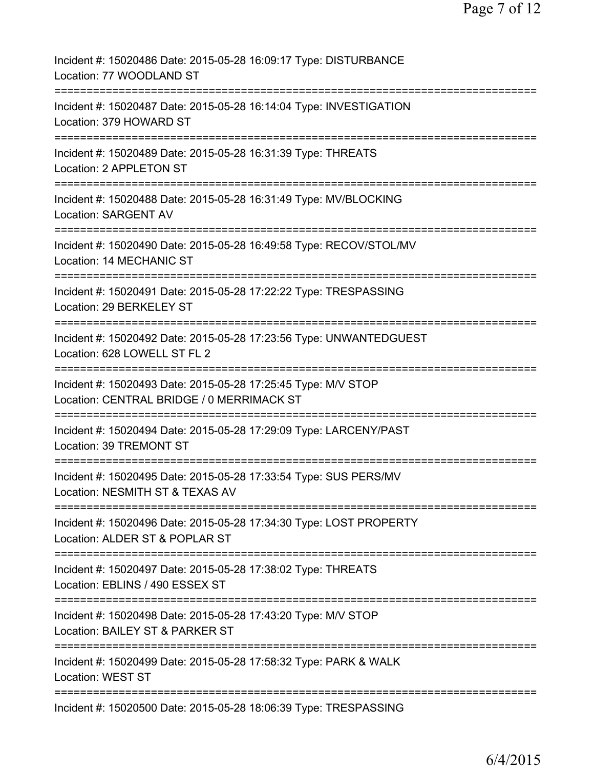| Incident #: 15020486 Date: 2015-05-28 16:09:17 Type: DISTURBANCE<br>Location: 77 WOODLAND ST               |
|------------------------------------------------------------------------------------------------------------|
| Incident #: 15020487 Date: 2015-05-28 16:14:04 Type: INVESTIGATION<br>Location: 379 HOWARD ST              |
| Incident #: 15020489 Date: 2015-05-28 16:31:39 Type: THREATS<br>Location: 2 APPLETON ST                    |
| Incident #: 15020488 Date: 2015-05-28 16:31:49 Type: MV/BLOCKING<br><b>Location: SARGENT AV</b>            |
| Incident #: 15020490 Date: 2015-05-28 16:49:58 Type: RECOV/STOL/MV<br>Location: 14 MECHANIC ST             |
| Incident #: 15020491 Date: 2015-05-28 17:22:22 Type: TRESPASSING<br>Location: 29 BERKELEY ST               |
| Incident #: 15020492 Date: 2015-05-28 17:23:56 Type: UNWANTEDGUEST<br>Location: 628 LOWELL ST FL 2         |
| Incident #: 15020493 Date: 2015-05-28 17:25:45 Type: M/V STOP<br>Location: CENTRAL BRIDGE / 0 MERRIMACK ST |
| Incident #: 15020494 Date: 2015-05-28 17:29:09 Type: LARCENY/PAST<br>Location: 39 TREMONT ST               |
| Incident #: 15020495 Date: 2015-05-28 17:33:54 Type: SUS PERS/MV<br>Location: NESMITH ST & TEXAS AV        |
| Incident #: 15020496 Date: 2015-05-28 17:34:30 Type: LOST PROPERTY<br>Location: ALDER ST & POPLAR ST       |
| Incident #: 15020497 Date: 2015-05-28 17:38:02 Type: THREATS<br>Location: EBLINS / 490 ESSEX ST            |
| Incident #: 15020498 Date: 2015-05-28 17:43:20 Type: M/V STOP<br>Location: BAILEY ST & PARKER ST           |
| Incident #: 15020499 Date: 2015-05-28 17:58:32 Type: PARK & WALK<br>Location: WEST ST                      |
| Incident #: 15020500 Date: 2015-05-28 18:06:39 Type: TRESPASSING                                           |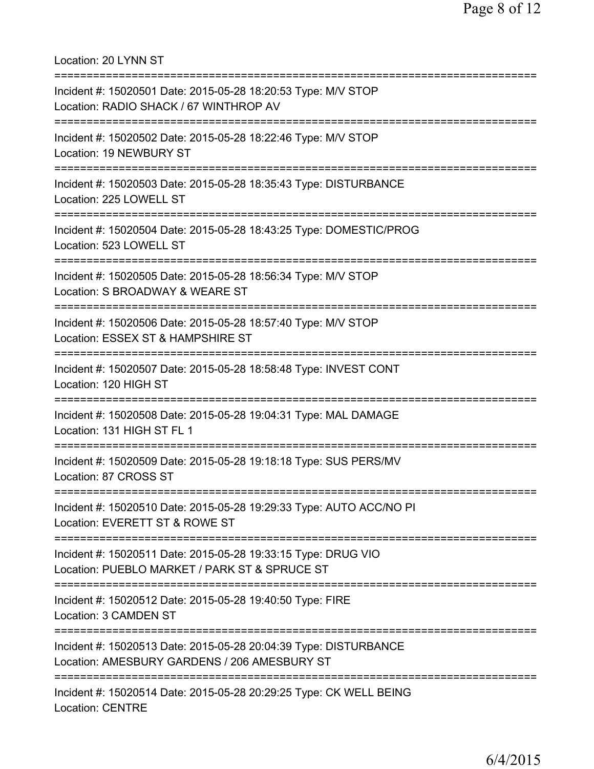Location: 20 LYNN ST =========================================================================== Incident #: 15020501 Date: 2015-05-28 18:20:53 Type: M/V STOP Location: RADIO SHACK / 67 WINTHROP AV =========================================================================== Incident #: 15020502 Date: 2015-05-28 18:22:46 Type: M/V STOP Location: 19 NEWBURY ST =========================================================================== Incident #: 15020503 Date: 2015-05-28 18:35:43 Type: DISTURBANCE Location: 225 LOWELL ST =========================================================================== Incident #: 15020504 Date: 2015-05-28 18:43:25 Type: DOMESTIC/PROG Location: 523 LOWELL ST =========================================================================== Incident #: 15020505 Date: 2015-05-28 18:56:34 Type: M/V STOP Location: S BROADWAY & WEARE ST =========================================================================== Incident #: 15020506 Date: 2015-05-28 18:57:40 Type: M/V STOP Location: ESSEX ST & HAMPSHIRE ST =========================================================================== Incident #: 15020507 Date: 2015-05-28 18:58:48 Type: INVEST CONT Location: 120 HIGH ST =========================================================================== Incident #: 15020508 Date: 2015-05-28 19:04:31 Type: MAL DAMAGE Location: 131 HIGH ST FL 1 =========================================================================== Incident #: 15020509 Date: 2015-05-28 19:18:18 Type: SUS PERS/MV Location: 87 CROSS ST =========================================================================== Incident #: 15020510 Date: 2015-05-28 19:29:33 Type: AUTO ACC/NO PI Location: EVERETT ST & ROWE ST =========================================================================== Incident #: 15020511 Date: 2015-05-28 19:33:15 Type: DRUG VIO Location: PUEBLO MARKET / PARK ST & SPRUCE ST =========================================================================== Incident #: 15020512 Date: 2015-05-28 19:40:50 Type: FIRE Location: 3 CAMDEN ST =========================================================================== Incident #: 15020513 Date: 2015-05-28 20:04:39 Type: DISTURBANCE Location: AMESBURY GARDENS / 206 AMESBURY ST =========================================================================== Incident #: 15020514 Date: 2015-05-28 20:29:25 Type: CK WELL BEING Location: CENTRE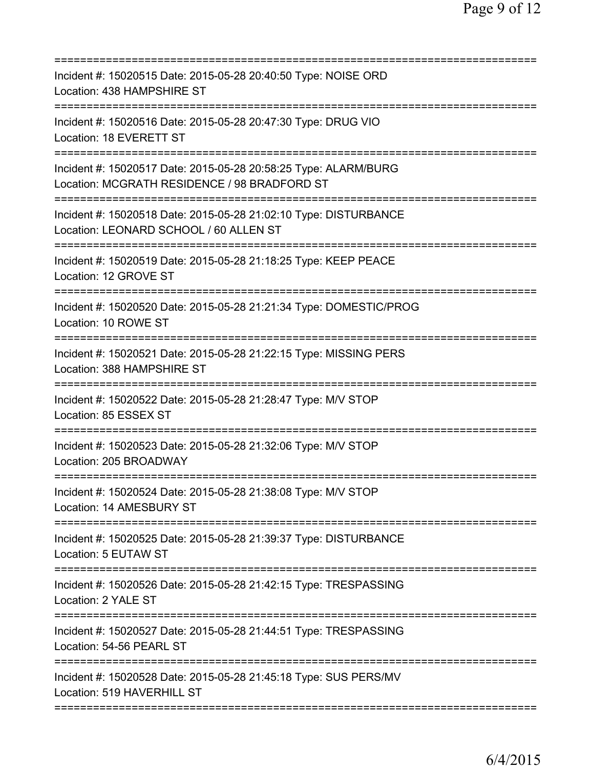| Incident #: 15020515 Date: 2015-05-28 20:40:50 Type: NOISE ORD<br>Location: 438 HAMPSHIRE ST                                                      |
|---------------------------------------------------------------------------------------------------------------------------------------------------|
| Incident #: 15020516 Date: 2015-05-28 20:47:30 Type: DRUG VIO<br>Location: 18 EVERETT ST                                                          |
| Incident #: 15020517 Date: 2015-05-28 20:58:25 Type: ALARM/BURG<br>Location: MCGRATH RESIDENCE / 98 BRADFORD ST<br>============================== |
| Incident #: 15020518 Date: 2015-05-28 21:02:10 Type: DISTURBANCE<br>Location: LEONARD SCHOOL / 60 ALLEN ST                                        |
| Incident #: 15020519 Date: 2015-05-28 21:18:25 Type: KEEP PEACE<br>Location: 12 GROVE ST                                                          |
| Incident #: 15020520 Date: 2015-05-28 21:21:34 Type: DOMESTIC/PROG<br>Location: 10 ROWE ST                                                        |
| Incident #: 15020521 Date: 2015-05-28 21:22:15 Type: MISSING PERS<br>Location: 388 HAMPSHIRE ST                                                   |
| Incident #: 15020522 Date: 2015-05-28 21:28:47 Type: M/V STOP<br>Location: 85 ESSEX ST                                                            |
| Incident #: 15020523 Date: 2015-05-28 21:32:06 Type: M/V STOP<br>Location: 205 BROADWAY                                                           |
| Incident #: 15020524 Date: 2015-05-28 21:38:08 Type: M/V STOP<br>Location: 14 AMESBURY ST                                                         |
| Incident #: 15020525 Date: 2015-05-28 21:39:37 Type: DISTURBANCE<br>Location: 5 EUTAW ST                                                          |
| Incident #: 15020526 Date: 2015-05-28 21:42:15 Type: TRESPASSING<br>Location: 2 YALE ST                                                           |
| Incident #: 15020527 Date: 2015-05-28 21:44:51 Type: TRESPASSING<br>Location: 54-56 PEARL ST                                                      |
| Incident #: 15020528 Date: 2015-05-28 21:45:18 Type: SUS PERS/MV<br>Location: 519 HAVERHILL ST                                                    |
|                                                                                                                                                   |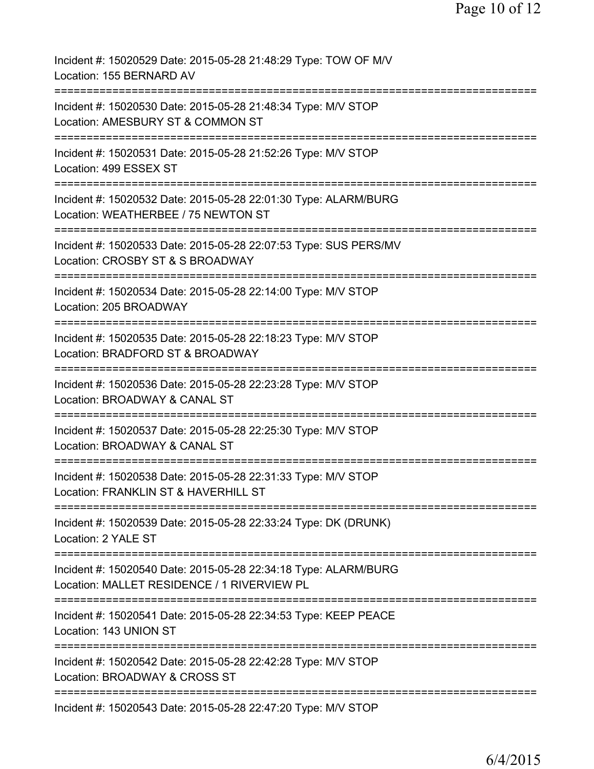| Incident #: 15020529 Date: 2015-05-28 21:48:29 Type: TOW OF M/V<br>Location: 155 BERNARD AV                           |
|-----------------------------------------------------------------------------------------------------------------------|
| Incident #: 15020530 Date: 2015-05-28 21:48:34 Type: M/V STOP<br>Location: AMESBURY ST & COMMON ST                    |
| Incident #: 15020531 Date: 2015-05-28 21:52:26 Type: M/V STOP<br>Location: 499 ESSEX ST                               |
| Incident #: 15020532 Date: 2015-05-28 22:01:30 Type: ALARM/BURG<br>Location: WEATHERBEE / 75 NEWTON ST                |
| Incident #: 15020533 Date: 2015-05-28 22:07:53 Type: SUS PERS/MV<br>Location: CROSBY ST & S BROADWAY                  |
| ==========================<br>Incident #: 15020534 Date: 2015-05-28 22:14:00 Type: M/V STOP<br>Location: 205 BROADWAY |
| Incident #: 15020535 Date: 2015-05-28 22:18:23 Type: M/V STOP<br>Location: BRADFORD ST & BROADWAY                     |
| Incident #: 15020536 Date: 2015-05-28 22:23:28 Type: M/V STOP<br>Location: BROADWAY & CANAL ST                        |
| Incident #: 15020537 Date: 2015-05-28 22:25:30 Type: M/V STOP<br>Location: BROADWAY & CANAL ST                        |
| Incident #: 15020538 Date: 2015-05-28 22:31:33 Type: M/V STOP<br>Location: FRANKLIN ST & HAVERHILL ST                 |
| Incident #: 15020539 Date: 2015-05-28 22:33:24 Type: DK (DRUNK)<br>Location: 2 YALE ST                                |
| Incident #: 15020540 Date: 2015-05-28 22:34:18 Type: ALARM/BURG<br>Location: MALLET RESIDENCE / 1 RIVERVIEW PL        |
| Incident #: 15020541 Date: 2015-05-28 22:34:53 Type: KEEP PEACE<br>Location: 143 UNION ST                             |
| Incident #: 15020542 Date: 2015-05-28 22:42:28 Type: M/V STOP<br>Location: BROADWAY & CROSS ST                        |
| ===========================<br>Incident #: 15020543 Date: 2015-05-28 22:47:20 Type: M/V STOP                          |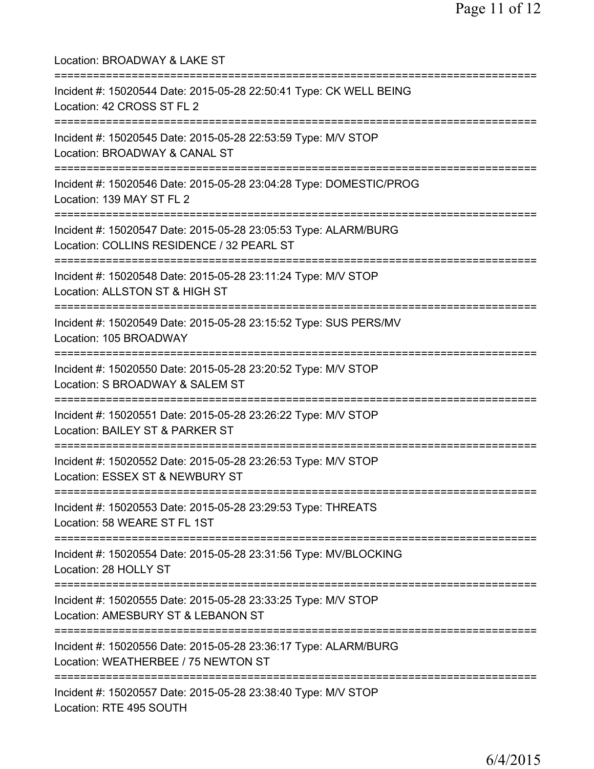| Location: BROADWAY & LAKE ST                                                                                                         |
|--------------------------------------------------------------------------------------------------------------------------------------|
| Incident #: 15020544 Date: 2015-05-28 22:50:41 Type: CK WELL BEING<br>Location: 42 CROSS ST FL 2<br>================================ |
| Incident #: 15020545 Date: 2015-05-28 22:53:59 Type: M/V STOP<br>Location: BROADWAY & CANAL ST<br>---------------------------------- |
| Incident #: 15020546 Date: 2015-05-28 23:04:28 Type: DOMESTIC/PROG<br>Location: 139 MAY ST FL 2<br>-------------------------         |
| Incident #: 15020547 Date: 2015-05-28 23:05:53 Type: ALARM/BURG<br>Location: COLLINS RESIDENCE / 32 PEARL ST                         |
| Incident #: 15020548 Date: 2015-05-28 23:11:24 Type: M/V STOP<br>Location: ALLSTON ST & HIGH ST<br>.--------------------             |
| Incident #: 15020549 Date: 2015-05-28 23:15:52 Type: SUS PERS/MV<br>Location: 105 BROADWAY                                           |
| Incident #: 15020550 Date: 2015-05-28 23:20:52 Type: M/V STOP<br>Location: S BROADWAY & SALEM ST<br>--------------                   |
| ===========================<br>Incident #: 15020551 Date: 2015-05-28 23:26:22 Type: M/V STOP<br>Location: BAILEY ST & PARKER ST      |
| :=======================<br>Incident #: 15020552 Date: 2015-05-28 23:26:53 Type: M/V STOP<br>Location: ESSEX ST & NEWBURY ST         |
| Incident #: 15020553 Date: 2015-05-28 23:29:53 Type: THREATS<br>Location: 58 WEARE ST FL 1ST                                         |
| Incident #: 15020554 Date: 2015-05-28 23:31:56 Type: MV/BLOCKING<br>Location: 28 HOLLY ST                                            |
| Incident #: 15020555 Date: 2015-05-28 23:33:25 Type: M/V STOP<br>Location: AMESBURY ST & LEBANON ST                                  |
| Incident #: 15020556 Date: 2015-05-28 23:36:17 Type: ALARM/BURG<br>Location: WEATHERBEE / 75 NEWTON ST                               |
| Incident #: 15020557 Date: 2015-05-28 23:38:40 Type: M/V STOP<br>Location: RTE 495 SOUTH                                             |